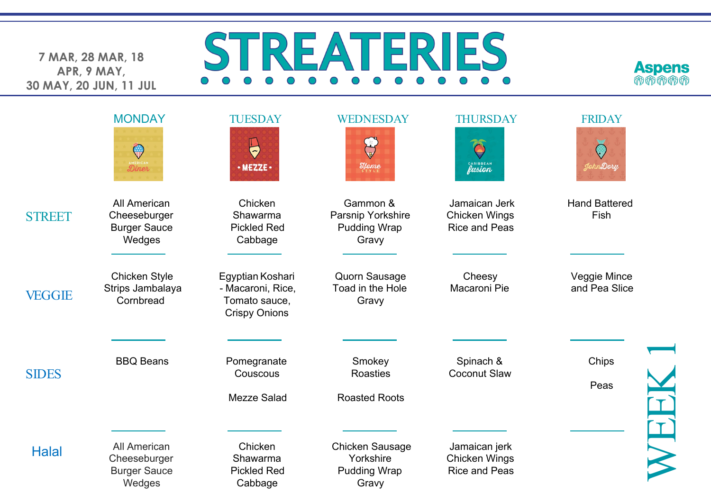**7 MAR, 28 MAR, 18 APR, 9 MAY, 30 MAY, 20 JUN, 11 JUL**

## STREATERIES  $\overline{O}$   $\overline{O}$  $\bigcirc$  $\bigcirc$



|               | <b>MONDAY</b><br>$\mathbb{Q}$<br>Diner                               | <b>TUESDAY</b><br>$\bigoplus$<br>· MEZZE ·                                     | WEDNESDAY<br>$\mathcal{H}$ ome                                      | <b>THURSDAY</b><br>Ô<br>CARIBBEAN                             | <b>FRIDAY</b><br>$\bigodot$<br>JohnDory |
|---------------|----------------------------------------------------------------------|--------------------------------------------------------------------------------|---------------------------------------------------------------------|---------------------------------------------------------------|-----------------------------------------|
| <b>STREET</b> | <b>All American</b><br>Cheeseburger<br><b>Burger Sauce</b><br>Wedges | Chicken<br>Shawarma<br><b>Pickled Red</b><br>Cabbage                           | Gammon &<br>Parsnip Yorkshire<br><b>Pudding Wrap</b><br>Gravy       | Jamaican Jerk<br><b>Chicken Wings</b><br><b>Rice and Peas</b> | <b>Hand Battered</b><br>Fish            |
| <b>VEGGIE</b> | <b>Chicken Style</b><br>Strips Jambalaya<br>Cornbread                | Egyptian Koshari<br>- Macaroni, Rice,<br>Tomato sauce,<br><b>Crispy Onions</b> | <b>Quorn Sausage</b><br>Toad in the Hole<br>Gravy                   | Cheesy<br>Macaroni Pie                                        | Veggie Mince<br>and Pea Slice           |
| <b>SIDES</b>  | <b>BBQ Beans</b>                                                     | Pomegranate<br>Couscous<br><b>Mezze Salad</b>                                  | Smokey<br><b>Roasties</b><br><b>Roasted Roots</b>                   | Spinach &<br><b>Coconut Slaw</b>                              | Chips<br>Peas                           |
| <b>Halal</b>  | All American<br>Cheeseburger<br><b>Burger Sauce</b><br>Wedges        | Chicken<br>Shawarma<br><b>Pickled Red</b><br>Cabbage                           | <b>Chicken Sausage</b><br>Yorkshire<br><b>Pudding Wrap</b><br>Gravy | Jamaican jerk<br><b>Chicken Wings</b><br><b>Rice and Peas</b> |                                         |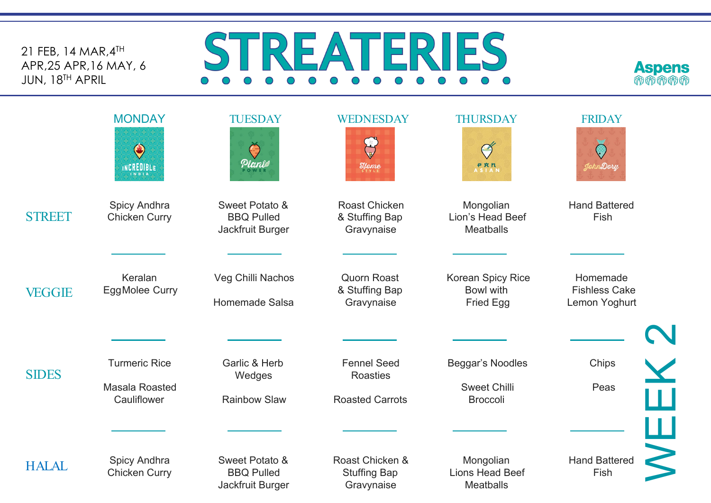21 FEB, 14 MAR,4TH APR,25 APR,16 MAY, 6 JUN, 18TH APRIL

## STREATERIES 00000000000  $\circ$   $\circ$  $\bigcirc$



|               | <b>MONDAY</b><br>$\bigcirc$<br>INCREDIBLE             | <b>TUESDAY</b><br>G<br>Planiø                           | WEDNESDAY<br>J<br>$\mathcal{H}$ <sub>s TYLE</sub>               | <b>THURSDAY</b><br>Ø<br><b>PRN</b><br>ASIAN                | <b>FRIDAY</b><br>JohnDory                         |  |
|---------------|-------------------------------------------------------|---------------------------------------------------------|-----------------------------------------------------------------|------------------------------------------------------------|---------------------------------------------------|--|
| <b>STREET</b> | Spicy Andhra<br><b>Chicken Curry</b>                  | Sweet Potato &<br><b>BBQ Pulled</b><br>Jackfruit Burger | <b>Roast Chicken</b><br>& Stuffing Bap<br>Gravynaise            | Mongolian<br>Lion's Head Beef<br><b>Meatballs</b>          | <b>Hand Battered</b><br>Fish                      |  |
| <b>VEGGIE</b> | Keralan<br><b>EggMolee Curry</b>                      | Veg Chilli Nachos<br>Homemade Salsa                     | <b>Quorn Roast</b><br>& Stuffing Bap<br>Gravynaise              | Korean Spicy Rice<br><b>Bowl with</b><br><b>Fried Egg</b>  | Homemade<br><b>Fishless Cake</b><br>Lemon Yoghurt |  |
| <b>SIDES</b>  | <b>Turmeric Rice</b><br>Masala Roasted<br>Cauliflower | Garlic & Herb<br>Wedges<br><b>Rainbow Slaw</b>          | <b>Fennel Seed</b><br><b>Roasties</b><br><b>Roasted Carrots</b> | Beggar's Noodles<br><b>Sweet Chilli</b><br><b>Broccoli</b> | Chips<br>$\bf \frac{X}{H}$<br>Peas                |  |
| <b>HALAL</b>  | Spicy Andhra<br><b>Chicken Curry</b>                  | Sweet Potato &<br><b>BBQ Pulled</b><br>Jackfruit Burger | Roast Chicken &<br><b>Stuffing Bap</b><br>Gravynaise            | Mongolian<br><b>Lions Head Beef</b><br><b>Meatballs</b>    | щ<br><b>Hand Battered</b><br>Fish                 |  |